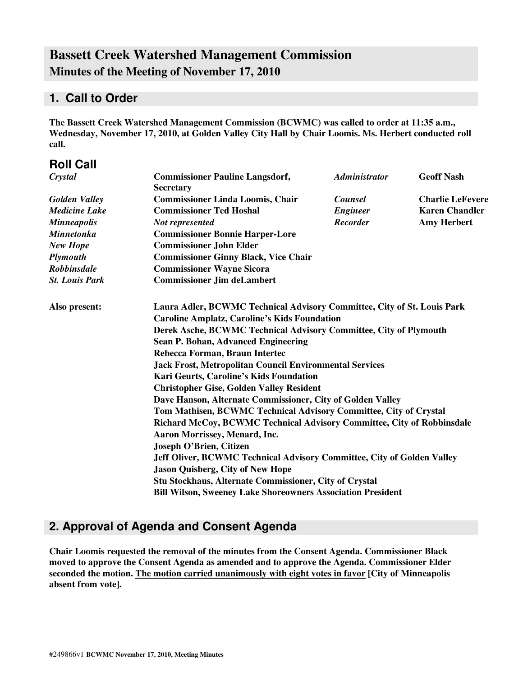# **Bassett Creek Watershed Management Commission Minutes of the Meeting of November 17, 2010**

### **1. Call to Order**

**The Bassett Creek Watershed Management Commission (BCWMC) was called to order at 11:35 a.m., Wednesday, November 17, 2010, at Golden Valley City Hall by Chair Loomis. Ms. Herbert conducted roll call.**

| <b>Roll Call</b>      |                                                                                                                                                                                                                                                                                                                                                                                                                                              |                      |                         |  |  |
|-----------------------|----------------------------------------------------------------------------------------------------------------------------------------------------------------------------------------------------------------------------------------------------------------------------------------------------------------------------------------------------------------------------------------------------------------------------------------------|----------------------|-------------------------|--|--|
| Crystal               | <b>Commissioner Pauline Langsdorf,</b><br><b>Secretary</b>                                                                                                                                                                                                                                                                                                                                                                                   | <b>Administrator</b> | <b>Geoff Nash</b>       |  |  |
| <b>Golden Valley</b>  | <b>Commissioner Linda Loomis, Chair</b>                                                                                                                                                                                                                                                                                                                                                                                                      | <b>Counsel</b>       | <b>Charlie LeFevere</b> |  |  |
| <b>Medicine Lake</b>  | <b>Commissioner Ted Hoshal</b>                                                                                                                                                                                                                                                                                                                                                                                                               | <b>Engineer</b>      | <b>Karen Chandler</b>   |  |  |
| <b>Minneapolis</b>    | Not represented                                                                                                                                                                                                                                                                                                                                                                                                                              | <b>Recorder</b>      | <b>Amy Herbert</b>      |  |  |
| <b>Minnetonka</b>     | <b>Commissioner Bonnie Harper-Lore</b>                                                                                                                                                                                                                                                                                                                                                                                                       |                      |                         |  |  |
| <b>New Hope</b>       | <b>Commissioner John Elder</b>                                                                                                                                                                                                                                                                                                                                                                                                               |                      |                         |  |  |
| Plymouth              | <b>Commissioner Ginny Black, Vice Chair</b>                                                                                                                                                                                                                                                                                                                                                                                                  |                      |                         |  |  |
| <b>Robbinsdale</b>    | <b>Commissioner Wayne Sicora</b>                                                                                                                                                                                                                                                                                                                                                                                                             |                      |                         |  |  |
| <b>St. Louis Park</b> | <b>Commissioner Jim deLambert</b>                                                                                                                                                                                                                                                                                                                                                                                                            |                      |                         |  |  |
| Also present:         | Laura Adler, BCWMC Technical Advisory Committee, City of St. Louis Park<br><b>Caroline Amplatz, Caroline's Kids Foundation</b><br>Derek Asche, BCWMC Technical Advisory Committee, City of Plymouth<br>Sean P. Bohan, Advanced Engineering<br>Rebecca Forman, Braun Intertec<br><b>Jack Frost, Metropolitan Council Environmental Services</b><br>Kari Geurts, Caroline's Kids Foundation<br><b>Christopher Gise, Golden Valley Resident</b> |                      |                         |  |  |
|                       | Dave Hanson, Alternate Commissioner, City of Golden Valley                                                                                                                                                                                                                                                                                                                                                                                   |                      |                         |  |  |
|                       | Tom Mathisen, BCWMC Technical Advisory Committee, City of Crystal                                                                                                                                                                                                                                                                                                                                                                            |                      |                         |  |  |
|                       | Richard McCoy, BCWMC Technical Advisory Committee, City of Robbinsdale<br>Aaron Morrissey, Menard, Inc.                                                                                                                                                                                                                                                                                                                                      |                      |                         |  |  |
|                       | <b>Joseph O'Brien, Citizen</b>                                                                                                                                                                                                                                                                                                                                                                                                               |                      |                         |  |  |
|                       | Jeff Oliver, BCWMC Technical Advisory Committee, City of Golden Valley                                                                                                                                                                                                                                                                                                                                                                       |                      |                         |  |  |
|                       | <b>Jason Quisberg, City of New Hope</b>                                                                                                                                                                                                                                                                                                                                                                                                      |                      |                         |  |  |
|                       | Stu Stockhaus, Alternate Commissioner, City of Crystal                                                                                                                                                                                                                                                                                                                                                                                       |                      |                         |  |  |
|                       | <b>Bill Wilson, Sweeney Lake Shoreowners Association President</b>                                                                                                                                                                                                                                                                                                                                                                           |                      |                         |  |  |

## **2. Approval of Agenda and Consent Agenda**

**Chair Loomis requested the removal of the minutes from the Consent Agenda. Commissioner Black moved to approve the Consent Agenda as amended and to approve the Agenda. Commissioner Elder seconded the motion. The motion carried unanimously with eight votes in favor [City of Minneapolis absent from vote].**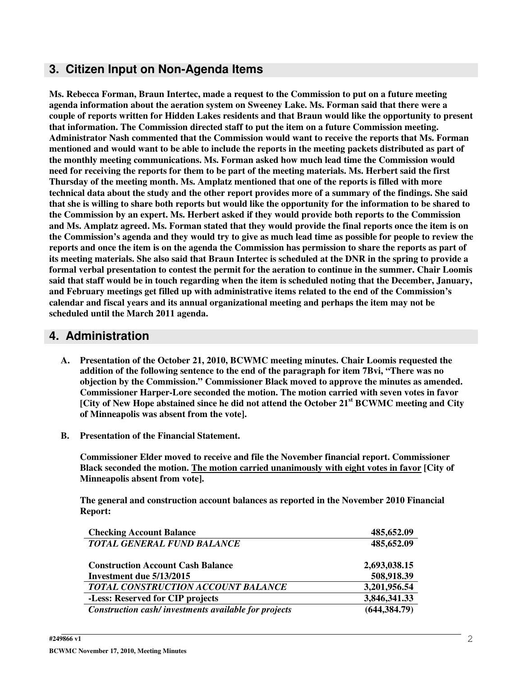## **3. Citizen Input on Non-Agenda Items**

**Ms. Rebecca Forman, Braun Intertec, made a request to the Commission to put on a future meeting agenda information about the aeration system on Sweeney Lake. Ms. Forman said that there were a couple of reports written for Hidden Lakes residents and that Braun would like the opportunity to present that information. The Commission directed staff to put the item on a future Commission meeting. Administrator Nash commented that the Commission would want to receive the reports that Ms. Forman** mentioned and would want to be able to include the reports in the meeting packets distributed as part of **the monthly meeting communications. Ms. Forman asked how much lead time the Commission would** need for receiving the reports for them to be part of the meeting materials. Ms. Herbert said the first **Thursday of the meeting month. Ms. Amplatz mentioned that one of the reports is filled with more** technical data about the study and the other report provides more of a summary of the findings. She said that she is willing to share both reports but would like the opportunity for the information to be shared to **the Commission by an expert. Ms. Herbert asked if they would provide both reports to the Commission** and Ms. Amplatz agreed. Ms. Forman stated that they would provide the final reports once the item is on the Commission's agenda and they would try to give as much lead time as possible for people to review the reports and once the item is on the agenda the Commission has permission to share the reports as part of its meeting materials. She also said that Braun Intertec is scheduled at the DNR in the spring to provide a **formal verbal presentation to contest the permit for the aeration to continue in the summer. Chair Loomis** said that staff would be in touch regarding when the item is scheduled noting that the December, January, **and February meetings get filled up with administrative items related to the end of the Commission's calendar and fiscal years and its annual organizational meeting and perhaps the item may not be scheduled until the March 2011 agenda.**

### **4. Administration**

- **A. Presentation of the October 21, 2010, BCWMC meeting minutes. Chair Loomis requested the addition of the following sentence to the end of the paragraph for item 7Bvi, "There was no objection by the Commission." Commissioner Black moved to approve the minutes as amended. Commissioner Harper-Lore seconded the motion. The motion carried with seven votes in favor [City of New Hope abstained since he did not attend the October 21 st BCWMC meeting and City of Minneapolis was absent from the vote].**
- **B. Presentation of the Financial Statement.**

**Commissioner Elder moved to receive and file the November financial report. Commissioner Black seconded the motion. The motion carried unanimously with eight votes in favor [City of Minneapolis absent from vote].**

**The general and construction account balances as reported in the November 2010 Financial Report:**

| <b>Checking Account Balance</b>                      | 485,652.09    |
|------------------------------------------------------|---------------|
| TOTAL GENERAL FUND BALANCE                           | 485,652.09    |
| <b>Construction Account Cash Balance</b>             | 2,693,038.15  |
| Investment due 5/13/2015                             | 508,918.39    |
| TOTAL CONSTRUCTION ACCOUNT BALANCE                   | 3,201,956.54  |
| -Less: Reserved for CIP projects                     | 3,846,341.33  |
| Construction cash/investments available for projects | (644, 384.79) |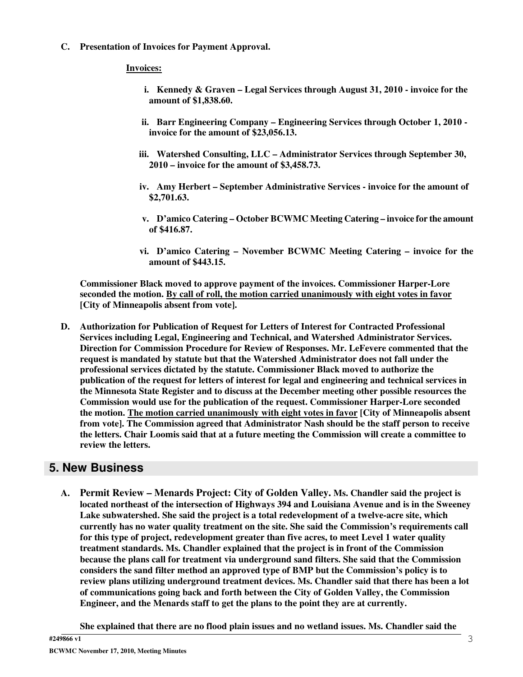**C. Presentation of Invoices for Payment Approval.**

#### **Invoices:**

- **i. Kennedy & Graven – Legal Services through August 31, 2010 - invoice for the amount of \$1,838.60.**
- **ii. Barr Engineering Company – Engineering Services through October 1, 2010 invoice for the amount of \$23,056.13.**
- **iii. Watershed Consulting, LLC – Administrator Services through September 30, 2010 – invoice for the amount of \$3,458.73.**
- **iv. Amy Herbert – September Administrative Services - invoice for the amount of \$2,701.63.**
- **v. D'amico Catering – October BCWMC Meeting Catering – invoice for the amount of \$416.87.**
- **vi. D'amico Catering – November BCWMC Meeting Catering – invoice for the amount of \$443.15.**

**Commissioner Black moved to approve payment of the invoices. Commissioner Harper-Lore seconded the motion. By call of roll, the motion carried unanimously with eight votes in favor [City of Minneapolis absent from vote].**

**D. Authorization for Publication of Request for Letters of Interest for Contracted Professional Services including Legal, Engineering and Technical, and Watershed Administrator Services. Direction for Commission Procedure for Review of Responses. Mr. LeFevere commented that the request is mandated by statute but that the Watershed Administrator does not fall under the professional services dictated by the statute. Commissioner Black moved to authorize the publication of the request for letters of interest for legal and engineering and technical services in the Minnesota State Register and to discuss at the December meeting other possible resources the Commission would use for the publication of the request. Commissioner Harper-Lore seconded the motion. The motion carried unanimously with eight votes in favor [City of Minneapolis absent from vote]. The Commission agreed that Administrator Nash should be the staff person to receive the letters. Chair Loomis said that at a future meeting the Commission will create a committee to review the letters.**

#### **5. New Business**

**A. Permit Review – Menards Project: City of Golden Valley. Ms. Chandler said the project is located northeast of the intersection of Highways 394 and Louisiana Avenue and is in the Sweeney Lake subwatershed. She said the project is a total redevelopment of a twelve-acre site, which currently has no water quality treatment on the site. She said the Commission's requirements call for this type of project, redevelopment greater than five acres, to meet Level 1 water quality treatment standards. Ms. Chandler explained that the project is in front of the Commission because the plans call for treatment via underground sand filters. She said that the Commission considers the sand filter method an approved type of BMP but the Commission's policy is to review plans utilizing underground treatment devices. Ms. Chandler said that there has been a lot of communications going back and forth between the City of Golden Valley, the Commission Engineer, and the Menards staff to get the plans to the point they are at currently.**

**She explained that there are no flood plain issues and no wetland issues. Ms. Chandler said the**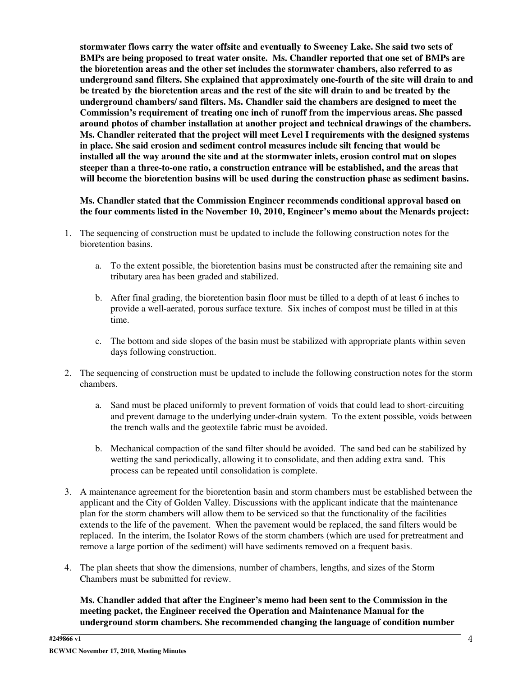**stormwater flows carry the water offsite and eventually to Sweeney Lake. She said two sets of BMPs are being proposed to treat water onsite. Ms. Chandler reported that one set of BMPs are the bioretention areas and the other set includes the stormwater chambers, also referred to as underground sand filters. She explained that approximately one-fourth of the site will drain to and** be treated by the bioretention areas and the rest of the site will drain to and be treated by the **underground chambers/ sand filters. Ms. Chandler said the chambers are designed to meet the Commission's requirement of treating one inch of runoff from the impervious areas. She passed around photos of chamber installation at another project and technical drawings of the chambers. Ms. Chandler reiterated that the project will meet Level I requirements with the designed systems in place. She said erosion and sediment control measures include silt fencing that would be installed all the way around the site and at the stormwater inlets, erosion control mat on slopes steeper than a three-to-one ratio, a construction entrance will be established, and the areas that will become the bioretention basins will be used during the construction phase as sediment basins.**

**Ms. Chandler stated that the Commission Engineer recommends conditional approval based on the four comments listed in the November 10, 2010, Engineer's memo about the Menards project:**

- 1. The sequencing of construction must be updated to include the following construction notes for the bioretention basins.
	- a. To the extent possible, the bioretention basins must be constructed after the remaining site and tributary area has been graded and stabilized.
	- b. After final grading, the bioretention basin floor must be tilled to a depth of at least 6 inches to provide a well-aerated, porous surface texture. Six inches of compost must be tilled in at this time.
	- c. The bottom and side slopes of the basin must be stabilized with appropriate plants within seven days following construction.
- 2. The sequencing of construction must be updated to include the following construction notes for the storm chambers.
	- a. Sand must be placed uniformly to prevent formation of voids that could lead to short-circuiting and prevent damage to the underlying under-drain system. To the extent possible, voids between the trench walls and the geotextile fabric must be avoided.
	- b. Mechanical compaction of the sand filter should be avoided. The sand bed can be stabilized by wetting the sand periodically, allowing it to consolidate, and then adding extra sand. This process can be repeated until consolidation is complete.
- 3. A maintenance agreement for the bioretention basin and storm chambers must be established between the applicant and the City of Golden Valley. Discussions with the applicant indicate that the maintenance plan for the storm chambers will allow them to be serviced so that the functionality of the facilities extends to the life of the pavement. When the pavement would be replaced, the sand filters would be replaced. In the interim, the Isolator Rows of the storm chambers (which are used for pretreatment and remove a large portion of the sediment) will have sediments removed on a frequent basis.
- 4. The plan sheets that show the dimensions, number of chambers, lengths, and sizes of the Storm Chambers must be submitted for review.

**Ms. Chandler added that after the Engineer's memo had been sent to the Commission in the meeting packet, the Engineer received the Operation and Maintenance Manual for the underground storm chambers. She recommended changing the language of condition number**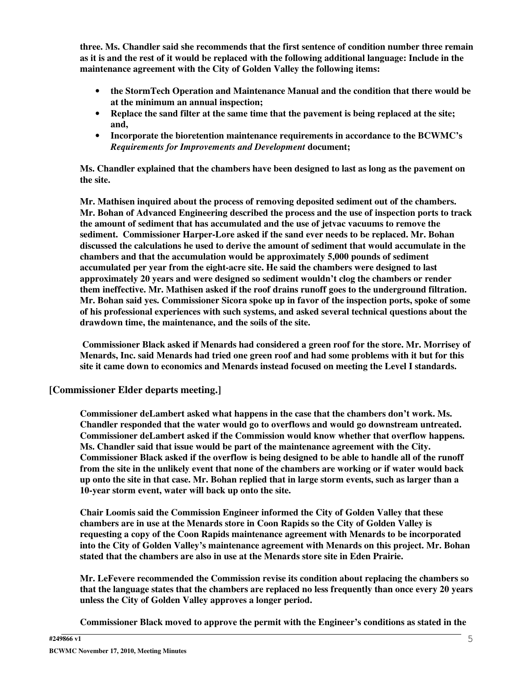**three. Ms. Chandler said she recommends that the first sentence of condition number three remain** as it is and the rest of it would be replaced with the following additional language: Include in the **maintenance agreement with the City of Golden Valley the following items:**

- **the StormTech Operation and Maintenance Manual and the condition that there would be at the minimum an annual inspection;**
- **Replace the sand filter at the same time that the pavement is being replaced at the site; and,**
- **Incorporate the bioretention maintenance requirements in accordance to the BCWMC's** *Requirements for Improvements and Development* **document;**

**Ms. Chandler explained that the chambers have been designed to last as long as the pavement on the site.**

**Mr. Mathisen inquired about the process of removing deposited sediment out of the chambers. Mr. Bohan of Advanced Engineering described the process and the use of inspection ports to track the amount of sediment that has accumulated and the use of jetvac vacuums to remove the sediment. Commissioner Harper-Lore asked if the sand ever needs to be replaced. Mr. Bohan discussed the calculations he used to derive the amount of sediment that would accumulate in the chambers and that the accumulation would be approximately 5,000 pounds of sediment accumulated per year from the eight-acre site. He said the chambers were designed to last approximately 20 years and were designed so sediment wouldn't clog the chambers or render them ineffective. Mr. Mathisen asked if the roof drains runoff goes to the underground filtration. Mr. Bohan said yes. Commissioner Sicora spoke up in favor of the inspection ports, spoke of some of his professional experiences with such systems, and asked several technical questions about the drawdown time, the maintenance, and the soils of the site.**

**Commissioner Black asked if Menards had considered a green roof for the store. Mr. Morrisey of Menards, Inc. said Menards had tried one green roof and had some problems with it but for this site it came down to economics and Menards instead focused on meeting the Level I standards.**

#### **[Commissioner Elder departs meeting.]**

**Commissioner deLambert asked what happens in the case that the chambers don't work. Ms. Chandler responded that the water would go to overflows and would go downstream untreated. Commissioner deLambert asked if the Commission would know whether that overflow happens. Ms. Chandler said that issue would be part of the maintenance agreement with the City. Commissioner Black asked if the overflow is being designed to be able to handle all of the runoff** from the site in the unlikely event that none of the chambers are working or if water would back up onto the site in that case. Mr. Bohan replied that in large storm events, such as larger than a **10-year storm event, water will back up onto the site.**

**Chair Loomis said the Commission Engineer informed the City of Golden Valley that these chambers are in use at the Menards store in Coon Rapids so the City of Golden Valley is requesting a copy of the Coon Rapids maintenance agreement with Menards to be incorporated into the City of Golden Valley's maintenance agreement with Menards on this project. Mr. Bohan stated that the chambers are also in use at the Menards store site in Eden Prairie.**

**Mr. LeFevere recommended the Commission revise its condition about replacing the chambers so that the language states that the chambers are replaced no less frequently than once every 20 years unless the City of Golden Valley approves a longer period.**

**Commissioner Black moved to approve the permit with the Engineer's conditions as stated in the**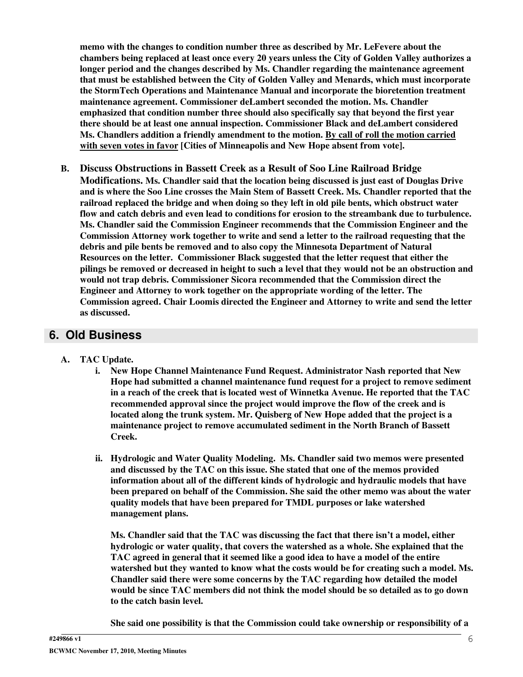**memo with the changes to condition number three as described by Mr. LeFevere about the chambers being replaced at least once every 20 years unless the City of Golden Valley authorizes a longer period and the changes described by Ms. Chandler regarding the maintenance agreement that must be established between the City of Golden Valley and Menards, which must incorporate the StormTech Operations and Maintenance Manual and incorporate the bioretention treatment maintenance agreement. Commissioner deLambert seconded the motion. Ms. Chandler emphasized that condition number three should also specifically say that beyond the first year there should be at least one annual inspection. Commissioner Black and deLambert considered Ms. Chandlers addition a friendly amendment to the motion. By call of roll the motion carried with seven votes in favor [Cities of Minneapolis and New Hope absent from vote].**

**B. Discuss Obstructions in Bassett Creek as a Result of Soo Line Railroad Bridge Modifications. Ms. Chandler said that the location being discussed is just east of Douglas Drive and is where the Soo Line crosses the Main Stem of Bassett Creek. Ms. Chandler reported that the railroad replaced the bridge and when doing so they left in old pile bents, which obstruct water flow and catch debris and even lead to conditions for erosion to the streambank due to turbulence. Ms. Chandler said the Commission Engineer recommends that the Commission Engineer and the Commission Attorney work together to write and send a letter to the railroad requesting that the debris and pile bents be removed and to also copy the Minnesota Department of Natural Resources on the letter. Commissioner Black suggested that the letter request that either the** pilings be removed or decreased in height to such a level that they would not be an obstruction and **would not trap debris. Commissioner Sicora recommended that the Commission direct the Engineer and Attorney to work together on the appropriate wording of the letter. The Commission agreed. Chair Loomis directed the Engineer and Attorney to write and send the letter as discussed.**

## **6. Old Business**

- **A. TAC Update.**
	- **i. New Hope Channel Maintenance Fund Request. Administrator Nash reported that New Hope had submitted a channel maintenance fund request for a project to remove sediment in a reach of the creek that is located west of Winnetka Avenue. He reported that the TAC recommended approval since the project would improve the flow of the creek and is located along the trunk system. Mr. Quisberg of New Hope added that the project is a maintenance project to remove accumulated sediment in the North Branch of Bassett Creek.**
	- **ii. Hydrologic and Water Quality Modeling. Ms. Chandler said two memos were presented and discussed by the TAC on this issue. She stated that one of the memos provided information about all of the different kinds of hydrologic and hydraulic models that have been prepared on behalf of the Commission. She said the other memo was about the water quality models that have been prepared for TMDL purposes or lake watershed management plans.**

**Ms. Chandler said that the TAC was discussing the fact that there isn't a model, either hydrologic or water quality, that covers the watershed as a whole. She explained that the TAC agreed in general that it seemed like a good idea to have a model of the entire watershed but they wanted to know what the costs would be for creating such a model. Ms. Chandler said there were some concerns by the TAC regarding how detailed the model would be since TAC members did not think the model should be so detailed as to go down to the catch basin level.**

**She said one possibility is that the Commission could take ownership or responsibility of a**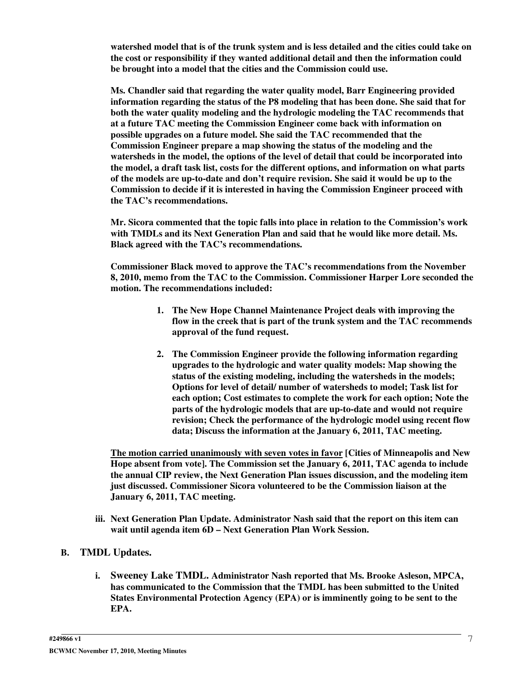**watershed model that is of the trunk system and is less detailed and the cities could take on the cost or responsibility if they wanted additional detail and then the information could be brought into a model that the cities and the Commission could use.**

**Ms. Chandler said that regarding the water quality model, Barr Engineering provided information regarding the status of the P8 modeling that has been done. She said that for both the water quality modeling and the hydrologic modeling the TAC recommends that at a future TAC meeting the Commission Engineer come back with information on possible upgrades on a future model. She said the TAC recommended that the Commission Engineer prepare a map showing the status of the modeling and the watersheds in the model, the options of the level of detail that could be incorporated into the model, a draft task list, costs for the different options, and information on what parts of the models are up-to-date and don't require revision. She said it would be up to the Commission to decide if it is interested in having the Commission Engineer proceed with the TAC's recommendations.**

**Mr. Sicora commented that the topic falls into place in relation to the Commission's work with TMDLs and its Next Generation Plan and said that he would like more detail. Ms. Black agreed with the TAC's recommendations.**

**Commissioner Black moved to approve the TAC's recommendations from the November 8, 2010, memo from the TAC to the Commission. Commissioner Harper Lore seconded the motion. The recommendations included:**

- **1. The New Hope Channel Maintenance Project deals with improving the flow in the creek that is part of the trunk system and the TAC recommends approval of the fund request.**
- **2. The Commission Engineer provide the following information regarding upgrades to the hydrologic and water quality models: Map showing the status of the existing modeling, including the watersheds in the models; Options for level of detail/ number of watersheds to model; Task list for each option; Cost estimates to complete the work for each option; Note the parts of the hydrologic models that are up-to-date and would not require revision; Check the performance of the hydrologic model using recent flow data; Discuss the information at the January 6, 2011, TAC meeting.**

**The motion carried unanimously with seven votes in favor [Cities of Minneapolis and New Hope absent from vote]. The Commission set the January 6, 2011, TAC agenda to include the annual CIP review, the Next Generation Plan issues discussion, and the modeling item just discussed. Commissioner Sicora volunteered to be the Commission liaison at the January 6, 2011, TAC meeting.**

**iii. Next Generation Plan Update. Administrator Nash said that the report on this item can wait until agenda item 6D – Next Generation Plan Work Session.**

#### **B. TMDL Updates.**

**i. Sweeney Lake TMDL. Administrator Nash reported that Ms. Brooke Asleson, MPCA, has communicated to the Commission that the TMDL has been submitted to the United States Environmental Protection Agency (EPA) or is imminently going to be sent to the EPA.**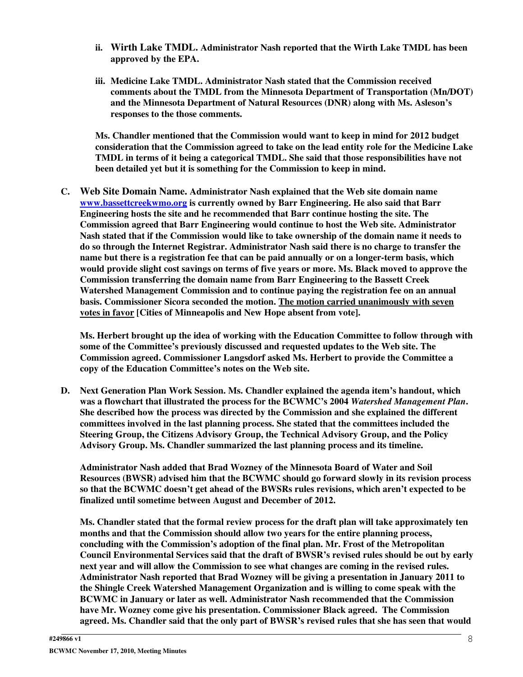- **ii. Wirth Lake TMDL. Administrator Nash reported that the Wirth Lake TMDL has been approved by the EPA.**
- **iii. Medicine Lake TMDL. Administrator Nash stated that the Commission received comments about the TMDL from the Minnesota Department of Transportation (Mn/DOT) and the Minnesota Department of Natural Resources (DNR) along with Ms. Asleson's responses to the those comments.**

**Ms. Chandler mentioned that the Commission would want to keep in mind for 2012 budget consideration that the Commission agreed to take on the lead entity role for the Medicine Lake TMDL in terms of it being a categorical TMDL. She said that those responsibilities have not been detailed yet but it is something for the Commission to keep in mind.**

**C. Web Site Domain Name. Administrator Nash explained that the Web site domain name www.bassettcreekwmo.org is currently owned by Barr Engineering. He also said that Barr Engineering hosts the site and he recommended that Barr continue hosting the site. The Commission agreed that Barr Engineering would continue to host the Web site. Administrator Nash stated that if the Commission would like to take ownership of the domain name it needs to do so through the Internet Registrar. Administrator Nash said there is no charge to transfer the name but there is a registration fee that can be paid annually or on a longer-term basis, which would provide slight cost savings on terms of five years or more. Ms. Black moved to approve the Commission transferring the domain name from Barr Engineering to the Bassett Creek Watershed Management Commission and to continue paying the registration fee on an annual basis. Commissioner Sicora seconded the motion. The motion carried unanimously with seven votes in favor [Cities of Minneapolis and New Hope absent from vote].**

**Ms. Herbert brought up the idea of working with the Education Committee to follow through with some of the Committee's previously discussed and requested updates to the Web site. The Commission agreed. Commissioner Langsdorf asked Ms. Herbert to provide the Committee a copy of the Education Committee's notes on the Web site.**

**D. Next Generation Plan Work Session. Ms. Chandler explained the agenda item's handout, which was a flowchart that illustrated the process for the BCWMC's 2004** *Watershed Management Plan***. She described how the process was directed by the Commission and she explained the different committees involved in the last planning process. She stated that the committees included the Steering Group, the Citizens Advisory Group, the Technical Advisory Group, and the Policy Advisory Group. Ms. Chandler summarized the last planning process and its timeline.**

**Administrator Nash added that Brad Wozney of the Minnesota Board of Water and Soil Resources (BWSR) advised him that the BCWMC should go forward slowly in its revision process so that the BCWMC doesn't get ahead of the BWSRs rules revisions, which aren't expected to be finalized until sometime between August and December of 2012.**

**Ms. Chandler stated that the formal review process for the draft plan will take approximately ten months and that the Commission should allow two years for the entire planning process, concluding with the Commission's adoption of the final plan. Mr. Frost of the Metropolitan Council Environmental Services said that the draft of BWSR's revised rules should be out by early next year and will allow the Commission to see what changes are coming in the revised rules. Administrator Nash reported that Brad Wozney will be giving a presentation in January 2011 to the Shingle Creek Watershed Management Organization and is willing to come speak with the BCWMC in January or later as well. Administrator Nash recommended that the Commission have Mr. Wozney come give his presentation. Commissioner Black agreed. The Commission agreed. Ms. Chandler said that the only part of BWSR's revised rules that she has seen that would**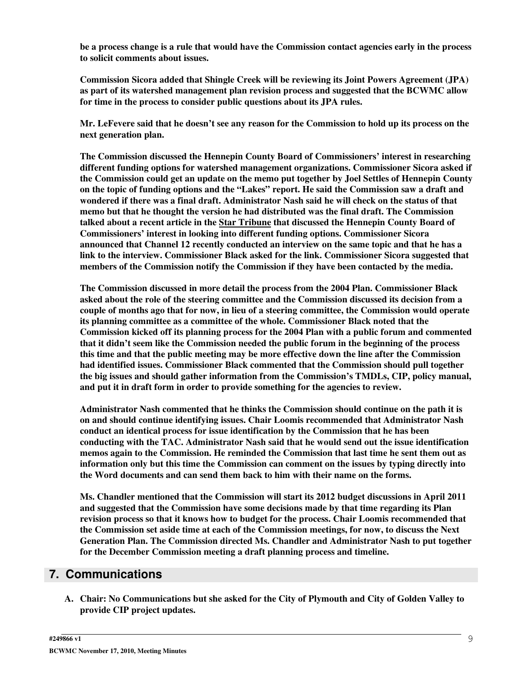**be a process change is a rule that would have the Commission contact agencies early in the process to solicit comments about issues.**

**Commission Sicora added that Shingle Creek will be reviewing its Joint Powers Agreement (JPA) as part of its watershed management plan revision process and suggested that the BCWMC allow for time in the process to consider public questions about its JPA rules.**

Mr. LeFevere said that he doesn't see any reason for the Commission to hold up its process on the **next generation plan.**

**The Commission discussed the Hennepin County Board of Commissioners' interest in researching different funding options for watershed management organizations. Commissioner Sicora asked if the Commission could get an update on the memo put together by Joel Settles of Hennepin County on the topic of funding options and the "Lakes" report. He said the Commission saw a draft and wondered if there was a final draft. Administrator Nash said he will check on the status of that memo but that he thought the version he had distributed was the final draft. The Commission talked about a recent article in the Star Tribune that discussed the Hennepin County Board of Commissioners' interest in looking into different funding options. Commissioner Sicora announced that Channel 12 recently conducted an interview on the same topic and that he has a link to the interview. Commissioner Black asked for the link. Commissioner Sicora suggested that members of the Commission notify the Commission if they have been contacted by the media.**

**The Commission discussed in more detail the process from the 2004 Plan. Commissioner Black asked about the role of the steering committee and the Commission discussed its decision from a couple of months ago that for now, in lieu of a steering committee, the Commission would operate its planning committee as a committee of the whole. Commissioner Black noted that the Commission kicked off its planning process for the 2004 Plan with a public forum and commented that it didn't seem like the Commission needed the public forum in the beginning of the process this time and that the public meeting may be more effective down the line after the Commission had identified issues. Commissioner Black commented that the Commission should pull together the big issues and should gather information from the Commission's TMDLs, CIP, policy manual, and put it in draft form in order to provide something for the agencies to review.**

**Administrator Nash commented that he thinks the Commission should continue on the path it is on and should continue identifying issues. Chair Loomis recommended that Administrator Nash conduct an identical process for issue identification by the Commission that he has been conducting with the TAC. Administrator Nash said that he would send out the issue identification memos again to the Commission. He reminded the Commission that last time he sent them out as information only but this time the Commission can comment on the issues by typing directly into the Word documents and can send them back to him with their name on the forms.**

**Ms. Chandler mentioned that the Commission will start its 2012 budget discussions in April 2011 and suggested that the Commission have some decisions made by that time regarding its Plan revision process so that it knows how to budget for the process. Chair Loomis recommended that the Commission set aside time at each of the Commission meetings, for now, to discuss the Next Generation Plan. The Commission directed Ms. Chandler and Administrator Nash to put together for the December Commission meeting a draft planning process and timeline.**

#### **7. Communications**

**A. Chair: No Communications but she asked for the City of Plymouth and City of Golden Valley to provide CIP project updates.**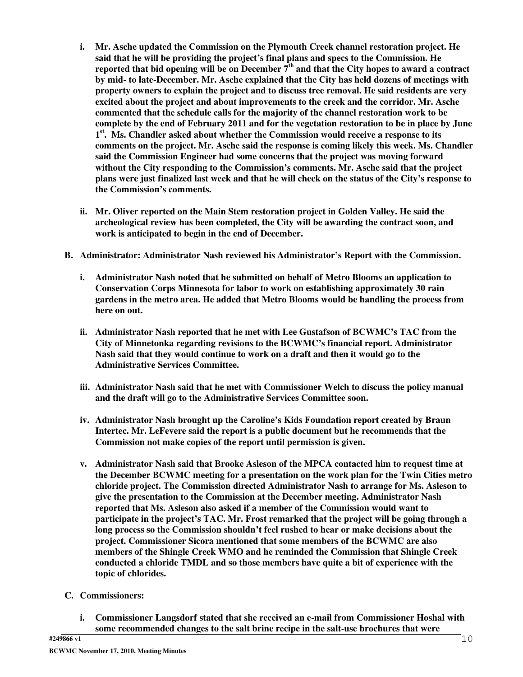- **i. Mr. Asche updated the Commission on the Plymouth Creek channel restoration project. He said that he will be providing the project's final plans and specs to the Commission. He** reported that bid opening will be on December  $7^{\rm th}$  and that the City hopes to award a contract **by mid- to late-December. Mr. Asche explained that the City has held dozens of meetings with property owners to explain the project and to discuss tree removal. He said residents are very excited about the project and about improvements to the creek and the corridor. Mr. Asche commented that the schedule calls for the majority of the channel restoration work to be complete by the end of February 2011 and for the vegetation restoration to be in place by June 1 st . Ms. Chandler asked about whether the Commission would receive a response to its comments on the project. Mr. Asche said the response is coming likely this week. Ms. Chandler said the Commission Engineer had some concerns that the project was moving forward without the City responding to the Commission's comments. Mr. Asche said that the project** plans were just finalized last week and that he will check on the status of the City's response to **the Commission's comments.**
- **ii. Mr. Oliver reported on the Main Stem restoration project in Golden Valley. He said the archeological review has been completed, the City will be awarding the contract soon, and work is anticipated to begin in the end of December.**
- **B. Administrator: Administrator Nash reviewed his Administrator's Report with the Commission.**
	- **i. Administrator Nash noted that he submitted on behalf of Metro Blooms an application to Conservation Corps Minnesota for labor to work on establishing approximately 30 rain gardens in the metro area. He added that Metro Blooms would be handling the process from here on out.**
	- **ii. Administrator Nash reported that he met with Lee Gustafson of BCWMC's TAC from the City of Minnetonka regarding revisions to the BCWMC's financial report. Administrator Nash said that they would continue to work on a draft and then it would go to the Administrative Services Committee.**
	- **iii. Administrator Nash said that he met with Commissioner Welch to discuss the policy manual and the draft will go to the Administrative Services Committee soon.**
	- **iv. Administrator Nash brought up the Caroline's Kids Foundation report created by Braun Intertec. Mr. LeFevere said the report is a public document but he recommends that the Commission not make copies of the report until permission is given.**
	- **v. Administrator Nash said that Brooke Asleson of the MPCA contacted him to request time at the December BCWMC meeting for a presentation on the work plan for the Twin Cities metro chloride project. The Commission directed Administrator Nash to arrange for Ms. Asleson to give the presentation to the Commission at the December meeting. Administrator Nash reported that Ms. Asleson also asked if a member of the Commission would want to participate in the project's TAC. Mr. Frost remarked that the project will be going through a long process so the Commission shouldn't feel rushed to hear or make decisions about the project. Commissioner Sicora mentioned that some members of the BCWMC are also members of the Shingle Creek WMO and he reminded the Commission that Shingle Creek conducted a chloride TMDL and so those members have quite a bit of experience with the topic of chlorides.**
- **C. Commissioners:**
	- **i. Commissioner Langsdorf stated that she received an e-mail from Commissioner Hoshal with some recommended changes to the salt brine recipe in the salt-use brochures that were**